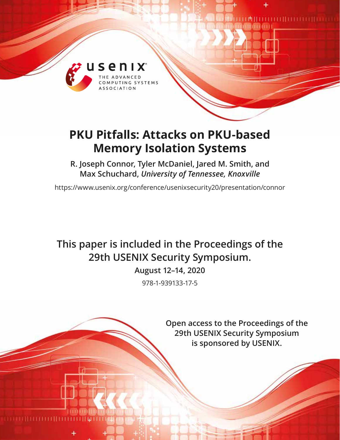

# **PKU Pitfalls: Attacks on PKU-based Memory Isolation Systems**

**R. Joseph Connor, Tyler McDaniel, Jared M. Smith, and Max Schuchard,** *University of Tennessee, Knoxville*

https://www.usenix.org/conference/usenixsecurity20/presentation/connor

# **This paper is included in the Proceedings of the 29th USENIX Security Symposium.**

**August 12–14, 2020**

978-1-939133-17-5

**Open access to the Proceedings of the 29th USENIX Security Symposium is sponsored by USENIX.**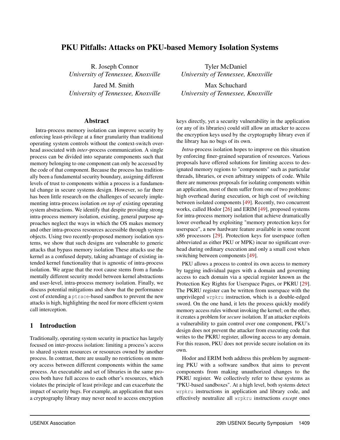# PKU Pitfalls: Attacks on PKU-based Memory Isolation Systems

R. Joseph Connor *University of Tennessee, Knoxville*

Jared M. Smith *University of Tennessee, Knoxville*

#### Abstract

Intra-process memory isolation can improve security by enforcing least-privilege at a finer granularity than traditional operating system controls without the context-switch overhead associated with *inter*-process communication. A single process can be divided into separate components such that memory belonging to one component can only be accessed by the code of that component. Because the process has traditionally been a fundamental security boundary, assigning different levels of trust to components within a process is a fundamental change in secure systems design. However, so far there has been little research on the challenges of securely implementing intra-process isolation *on top of* existing operating system abstractions. We identify that despite providing strong intra-process memory isolation, existing, general purpose approaches neglect the ways in which the OS makes memory and other intra-process resources accessible through system objects. Using two recently-proposed memory isolation systems, we show that such designs are vulnerable to generic attacks that bypass memory isolation These attacks use the kernel as a confused deputy, taking advantage of existing intended kernel functionality that is agnostic of intra-process isolation. We argue that the root cause stems from a fundamentally different security model between kernel abstractions and user-level, intra-process memory isolation. Finally, we discuss potential mitigations and show that the performance cost of extending a ptrace-based sandbox to prevent the new attacks is high, highlighting the need for more efficient system call interception.

#### 1 Introduction

Traditionally, operating system security in practice has largely focused on inter-process isolation: limiting a process's access to shared system resources or resources owned by another process. In contrast, there are usually no restrictions on memory access between different components within the same process. An executable and set of libraries in the same process both have full access to each other's resources, which violates the principle of least privilege and can exacerbate the impact of security bugs. For example, an application that uses a cryptography library may never need to access encryption

Tyler McDaniel *University of Tennessee, Knoxville*

Max Schuchard *University of Tennessee, Knoxville*

keys directly, yet a security vulnerability in the application (or any of its libraries) could still allow an attacker to access the encryption keys used by the cryptography library even if the library has no bugs of its own.

*Intra*-process isolation hopes to improve on this situation by enforcing finer-grained separation of resources. Various proposals have offered solutions for limiting access to designated memory regions to "components" such as particular threads, libraries, or even arbitrary snippets of code. While there are numerous proposals for isolating components within an application, most of them suffer from one of two problems: high overhead during execution, or high cost of switching between isolated components [\[49\]](#page-17-0). Recently, two concurrent works, called Hodor [\[26\]](#page-16-0) and ERIM [\[49\]](#page-17-0), proposed systems for intra-process memory isolation that achieve dramatically lower overhead by exploiting "memory protection keys for userspace", a new hardware feature available in some recent x86 processors [\[29\]](#page-16-1). Protection keys for userspace (often abbreviated as either PKU or MPK) incur no significant overhead during ordinary execution and only a small cost when switching between components [\[49\]](#page-17-0).

PKU allows a process to control its own access to memory by tagging individual pages with a domain and governing access to each domain via a special register known as the Protection Key Rights for Userspace Pages, or PKRU [\[29\]](#page-16-1). The PKRU register can be written from userspace with the unprivileged wrpkru instruction, which is a double-edged sword. On the one hand, it lets the process quickly modify memory access rules without invoking the kernel; on the other, it creates a problem for *secure* isolation. If an attacker exploits a vulnerability to gain control over one component, PKU's design does not prevent the attacker from executing code that writes to the PKRU register, allowing access to any domain. For this reason, PKU does not provide secure isolation on its own.

Hodor and ERIM both address this problem by augmenting PKU with a software sandbox that aims to prevent components from making unauthorized changes to the PKRU register. We collectively refer to these systems as "PKU-based sandboxes". At a high level, both systems detect wrpkru instructions in application and library code, and effectively neutralize all wrpkru instructions *except* ones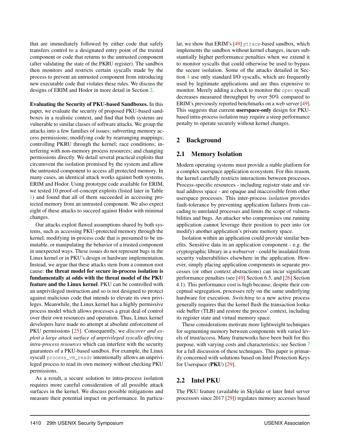that are immediately followed by either code that safely transfers control to a designated entry point of the trusted component or code that returns to the untrusted component (after validating the state of the PKRU register). The sandbox then monitors and restricts certain syscalls made by the process to prevent an untrusted component from introducing new executable code that violates these rules. We discuss the designs of ERIM and Hodor in more detail in Section [2.](#page-2-0)

Evaluating the Security of PKU-based Sandboxes. In this paper, we evaluate the security of proposed PKU-based sandboxes in a realistic context, and find that both systems are vulnerable to similar classes of software attacks. We group the attacks into a few families of issues: subverting memory access permissions; modifying code by rearranging mappings; controlling PKRU through the kernel; race conditions; interfering with non-memory process resources; and changing permissions directly. We detail several practical exploits that circumvent the isolation promised by the system and allow the untrusted component to access all protected memory. In many cases, an identical attack works against both systems, ERIM and Hodor. Using prototype code available for ERIM, we tested 10 proof-of-concept exploits (listed later in Table [1\)](#page-4-0) and found that all of them succeeded in accessing protected memory from an untrusted component. We also expect eight of these attacks to succeed against Hodor with minimal changes.

Our attacks exploit flawed assumptions shared by both systems, such as accessing PKU-protected memory through the kernel, modifying in-process code that is presumed to be immutable, or manipulating the behavior of a trusted component in unexpected ways. These issues do not represent bugs in the Linux kernel or in PKU's design or hardware implementation. Instead, we argue that these attacks stem from a common root cause: the threat model for secure in-process isolation is fundamentally at odds with the threat model of the PKU feature and the Linux kernel. PKU can be controlled with an unprivileged instruction and so is not designed to protect against malicious code that intends to elevate its own privileges. Meanwhile, the Linux kernel has a highly permissive process model which allows processes a great deal of control over their own resources and operation. Thus, Linux kernel developers have made no attempt at absolute enforcement of PKU permissions [\[25\]](#page-16-2). Consequently, we *discover and exploit a large attack surface of unprivileged syscalls affecting intra-process resources* which can interfere with the security guarantees of a PKU-based sandbox. For example, the Linux syscall process\_vm\_readv intentionally allows an unprivileged process to read its own memory without checking PKU permissions.

As a result, a secure solution to intra-process isolation requires more careful consideration of all possible attack surfaces in the kernel. We discuss possible mitigations and measure their potential impact on performance. In particular, we show that ERIM's [\[49\]](#page-17-0) ptrace-based sandbox, which implements the sandbox without kernel changes, incurs substantially higher performance penalties when we extend it to monitor syscalls that could otherwise be used to bypass the secure isolation. Some of the attacks detailed in Section [4](#page-5-0) use only standard I/O syscalls, which are frequently used by legitimate applications and are thus expensive to monitor. Merely adding a check to monitor the open syscall decreases measured throughput by over 50% compared to ERIM's previously reported benchmarks on a web server [\[49\]](#page-17-0). This suggests that current userspace-only design for PKUbased intra-process isolation may require a steep performance penalty to operate securely without kernel changes.

## <span id="page-2-0"></span>2 Background

#### 2.1 Memory Isolation

Modern operating systems must provide a stable platform for a complex userspace application ecosystem. For this reason, the kernel carefully restricts interactions between processes. Process-specific resources - including register state and virtual address space - are opaque and inaccessible from other userspace processes. This inter-process *isolation* provides fault-tolerance by preventing application failures from cascading to unrelated processes and limits the scope of vulnerabilities and bugs. An attacker who compromises one running application cannot leverage their position to peer into (or modify) another application's private memory space.

Isolation within an application could provide similar benefits. Sensitive data in an application component - e.g. the cryptographic library in a webserver - could be insulated from security vulnerabilities elsewhere in the application. However, simply placing application components in separate processes (or other context abstractions) can incur significant performance penalties (see [\[49\]](#page-17-0) Section 6.5, and [\[26\]](#page-16-0) Section 4.1). This performance cost is high because, despite their conceptual segregation, processes rely on the same underlying hardware for execution. *Switching* to a new active process generally requires that the kernel flush the transaction lookaside buffer (TLB) and restore the process' context, including its register state and virtual memory space.

These considerations motivate more lightweight techniques for segmenting memory between components with varied levels of trust/access. Many frameworks have been built for this purpose, with varying costs and characteristics; see Section [7](#page-14-0) for a full discussion of these techniques. This paper is primarily concerned with solutions based on Intel Protection Keys for Userspace (PKU) [\[29\]](#page-16-1).

## 2.2 Intel PKU

The PKU feature (available in Skylake or later Intel server processors since 2017 [\[29\]](#page-16-1)) regulates memory accesses based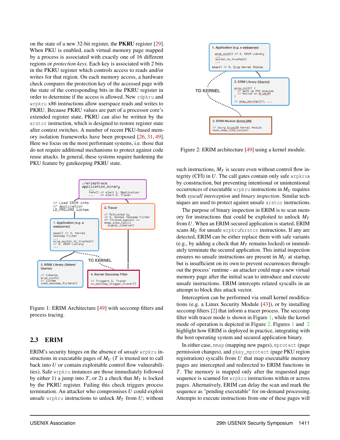on the state of a new 32-bit register, the PKRU register [\[29\]](#page-16-1). When PKU is enabled, each virtual memory page mapped by a process is associated with exactly one of 16 different regions or *protection keys*. Each key is associated with 2 bits in the PKRU register which controls access to reads and/or writes for that region. On each memory access, a hardware check compares the protection key of the accessed page with the state of the corresponding bits in the PKRU register in order to determine if the access is allowed. New rdpkru and wrpkru x86 instructions allow userspace reads and writes to PKRU. Because PKRU values are part of a processor core's extended register state, PKRU can also be written by the xrstor instruction, which is designed to restore register state after context switches. A number of recent PKU-based memory isolation frameworks have been proposed [\[26,](#page-16-0) [31,](#page-16-3) [49\]](#page-17-0). Here we focus on the most performant systems, i.e. those that do not require additional mechanisms to protect against code reuse attacks. In general, these systems require hardening the PKU feature by gatekeeping PKRU state.



<span id="page-3-0"></span>Figure 1: ERIM Architecture [\[49\]](#page-17-0) with seccomp filters and process tracing.

# 2.3 ERIM

ERIM's security hinges on the absence of *unsafe* wrpkru instructions in executable pages of  $M_U$  (*T* is trusted not to call back into *U* or contain exploitable control flow vulnerabilities). Safe wrpkru instances are those immediately followed by either 1) a jump into *T*, or 2) a check that  $M_T$  is locked by the PKRU register. Failing this check triggers process termination. An attacker who compromises *U* could exploit unsafe wrpkru instructions to unlock  $M_T$  from *U*; without



<span id="page-3-1"></span>Figure 2: ERIM architecture [\[49\]](#page-17-0) using a kernel module.

such instructions,  $M_T$  is secure even without control flow integrity (CFI) in *U*. The call gates contain only safe wrpkrus by construction, but preventing intentional or unintentional occurrences of executable wrpkru instructions in *M<sup>U</sup>* requires both *syscall interception* and *binary inspection*. Similar techniques are used to protect against unsafe xrstor instructions.

The purpose of binary inspection in ERIM is to scan memory for instructions that could be exploited to unlock *M<sup>T</sup>* from *U*. When an ERIM-secured application is started, ERIM scans  $M_U$  for unsafe wrpkru/xrstor instructions. If any are detected, ERIM can be either replace them with safe variants (e.g., by adding a check that  $M_T$  remains locked) or immediately terminate the secured application. This initial inspection ensures no unsafe instructions are present in  $M_U$  at startup, but is insufficient on its own to prevent occurrences throughout the process' runtime - an attacker could map a new virtual memory page after the initial scan to introduce and execute unsafe instructions. ERIM intercepts related syscalls in an attempt to block this attack vector.

Interception can be performed via small kernel modifications (e.g. a Linux Security Module [\[43\]](#page-17-1)), or by installing seccomp filters [\[2\]](#page-15-0) that inform a tracer process. The seccomp filter with tracer mode is shown in Figure [1,](#page-3-0) while the kernel mode of operation is depicted in Figure [2.](#page-3-1) Figures [1](#page-3-0) and [2](#page-3-1) highlight how ERIM is deployed in practice, integrating with the host operating system and secured application binary.

In either case, mmap (mapping new pages), mprotect (page permission changes), and pkey\_mprotect (page PKU region registration) syscalls from *U* that map executable memory pages are intercepted and redirected to ERIM functions in *T*. The memory is mapped only after the requested page sequence is scanned for wrpkru instructions within or across pages. Alternatively, ERIM can delay the scan and mark the sequence as "pending executable" for on-demand processing. Attempts to execute instructions from one of these pages will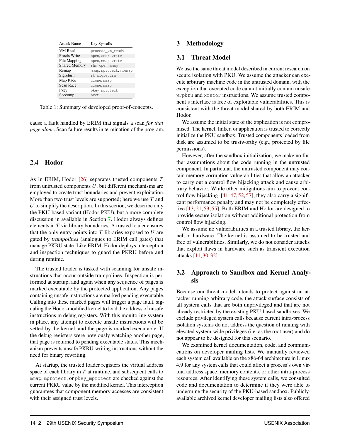| <b>Attack Name</b>   | Key Syscalls           |
|----------------------|------------------------|
| VM Read              | process_vm_readv       |
| Procfs Write         | open, seek, write      |
| File Mapping         | open, mmap, write      |
| <b>Shared Memory</b> | shm_open, mmap         |
| Remap                | mmap, mprotect, mremap |
| Sigreturn            | rt_sigreturn           |
| Map Race             | clone, mmap            |
| Scan Race            | clone, mmap            |
| Pkey                 | pkey mprotect          |
| Seccomp              | prctl                  |
|                      |                        |

Table 1: Summary of developed proof-of-concepts.

cause a fault handled by ERIM that signals a scan *for that page alone*. Scan failure results in termination of the program.

## 2.4 Hodor

As in ERIM, Hodor [\[26\]](#page-16-0) separates trusted components *T* from untrusted components *U*, but different mechanisms are employed to create trust boundaries and prevent exploitation. More than two trust levels are supported; here we use *T* and *U* to simplify the description. In this section, we describe only the PKU-based variant (Hodor-PKU), but a more complete discussion in available in Section [7.](#page-14-0) Hodor always defines elements in *T* via library boundaries. A trusted loader ensures that the only entry points into *T* libraries exposed to *U* are gated by *trampolines* (analogues to ERIM call gates) that manage PKRU state. Like ERIM, Hodor deploys interception and inspection techniques to guard the PKRU before and during runtime.

The trusted loader is tasked with scanning for unsafe instructions that occur outside trampolines. Inspection is performed at startup, and again when any sequence of pages is marked executable by the protected application. Any pages containing unsafe instructions are marked pending executable. Calling into these marked pages will trigger a page fault, signaling the Hodor-modified kernel to load the address of unsafe instructions in debug registers. With this monitoring system in place, any attempt to execute unsafe instructions will be vetted by the kernel, and the page is marked executable. If the debug registers were previously watching another page, that page is returned to pending executable status. This mechanism prevents unsafe PKRU-writing instructions without the need for binary rewriting.

At startup, the trusted loader registers the virtual address space of each library in *T* at runtime, and subsequent calls to mmap, mprotect, or pkey\_mprotect are checked against the current PKRU value by the modified kernel. This interception guarantees that component memory accesses are consistent with their assigned trust levels.

# 3 Methodology

## 3.1 Threat Model

<span id="page-4-0"></span>We use the same threat model described in current research on secure isolation with PKU. We assume the attacker can execute arbitrary machine code in the untrusted domain, with the exception that executed code cannot initially contain unsafe wrpkru and xrstor instructions. We assume trusted component's interface is free of exploitable vulnerabilities. This is consistent with the threat model shared by both ERIM and Hodor.

We assume the initial state of the application is not compromised. The kernel, linker, or application is trusted to correctly initialize the PKU sandbox. Trusted components loaded from disk are assumed to be trustworthy (e.g., protected by file permissions).

However, after the sandbox initialization, we make no further assumptions about the code running in the untrusted component. In particular, the untrusted component may contain memory corruption vulnerabilities that allow an attacker to carry out a control flow hijacking attack and cause arbitrary behavior. While other mitigations aim to prevent control flow hijacking  $[41, 47, 52, 57]$  $[41, 47, 52, 57]$  $[41, 47, 52, 57]$  $[41, 47, 52, 57]$  $[41, 47, 52, 57]$  $[41, 47, 52, 57]$  $[41, 47, 52, 57]$ , they also carry a significant performance penalty and may not be completely effective [\[13,](#page-16-4) [21,](#page-16-5) [53,](#page-17-5) [55\]](#page-18-1). Both ERIM and Hodor are designed to provide secure isolation without additional protection from control flow hijacking.

We assume no vulnerabilities in a trusted library, the kernel, or hardware. The kernel is assumed to be trusted and free of vulnerabilities. Similarly, we do not consider attacks that exploit flaws in hardware such as transient execution attacks [\[11,](#page-15-1) [30,](#page-16-6) [32\]](#page-16-7).

# 3.2 Approach to Sandbox and Kernel Analysis

Because our threat model intends to protect against an attacker running arbitrary code, the attack surface consists of all system calls that are both unprivileged and that are not already restricted by the existing PKU-based sandboxes. We exclude privileged system calls because current intra-process isolation systems do not address the question of running with elevated system-wide privileges (i.e. as the root user) and do not appear to be designed for this scenario.

We examined kernel documentation, code, and communications on developer mailing lists. We manually reviewed each system call available on the x86-64 architecture in Linux 4.9 for any system calls that could affect a process's own virtual address space, memory contents, or other intra-process resources. After identifying these system calls, we consulted code and documentation to determine if they were able to undermine the security of the PKU-based sandbox. Publiclyavailable archived kernel developer mailing lists also offered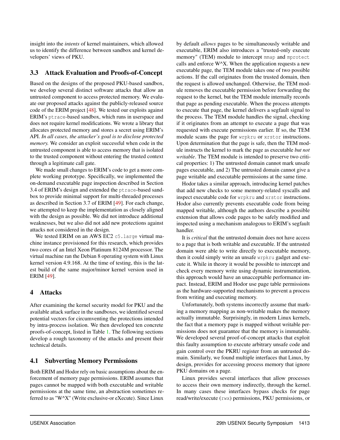insight into the *intents* of kernel maintainers, which allowed us to identify the difference between sandbox and kernel developers' views of PKU.

# 3.3 Attack Evaluation and Proofs-of-Concept

Based on the designs of the proposed PKU-based sandbox, we develop several distinct software attacks that allow an untrusted component to access protected memory. We evaluate our proposed attacks against the publicly-released source code of the ERIM project [\[48\]](#page-17-6). We tested our exploits against ERIM's ptrace-based sandbox, which runs in userspace and does not require kernel modifications. We wrote a library that allocates protected memory and stores a secret using ERIM's API. *In all cases, the attacker's goal is to disclose protected memory.* We consider an exploit successful when code in the untrusted component is able to access memory that is isolated to the trusted component without entering the trusted context through a legitimate call gate.

We made small changes to ERIM's code to get a more complete working prototype. Specifically, we implemented the on-demand executable page inspection described in Section 3.4 of ERIM's design and extended the ptrace-based sandbox to provide minimal support for multi-threaded processes as described in Section 3.7 of ERIM [\[49\]](#page-17-0). For each change, we attempted to keep the implementation as closely aligned with the design as possible. We did not introduce additional weaknesses, but we also did not add new protections against attacks not considered in the design.

We tested ERIM on an AWS EC2 c5.large virtual machine instance provisioned for this research, which provides two cores of an Intel Xeon Platinum 8124M processor. The virtual machine ran the Debian 8 operating system with Linux kernel version 4.9.168. At the time of testing, this is the latest build of the same major/minor kernel version used in ERIM [\[49\]](#page-17-0).

# <span id="page-5-0"></span>4 Attacks

After examining the kernel security model for PKU and the available attack surface in the sandboxes, we identified several potential vectors for circumventing the protections intended by intra-process isolation. We then developed ten concrete proofs-of-concept, listed in Table [1.](#page-4-0) The following sections develop a rough taxonomy of the attacks and present their technical details.

# <span id="page-5-1"></span>4.1 Subverting Memory Permissions

Both ERIM and Hodor rely on basic assumptions about the enforcement of memory page permissions. ERIM assumes that pages cannot be mapped with both executable and writable permissions at the same time, an abstraction sometimes referred to as "W^X" (Write exclusive-or eXecute). Since Linux

by default *allows* pages to be simultaneously writable and executable, ERIM also introduces a "trusted-only execute memory" (TEM) module to intercept mmap and mprotect calls and enforce W^X. When the application requests a new executable page, the TEM module takes one of two possible actions. If the call originates from the trusted domain, then the request is allowed unchanged. Otherwise, the TEM module removes the executable permission before forwarding the request to the kernel, but the TEM module internally records that page as pending executable. When the process attempts to execute that page, the kernel delivers a segfault signal to the process. The TEM module handles the signal, checking if it originates from an attempt to execute a page that was requested with execute permissions earlier. If so, the TEM module scans the page for wrpkru or xrstor instructions. Upon determination that the page is safe, then the TEM module instructs the kernel to mark the page as executable *but not writable*. The TEM module is intended to preserve two critical properties: 1) The untrusted domain cannot mark unsafe pages executable, and 2) The untrusted domain cannot give a page writable and executable permissions at the same time.

Hodor takes a similar approach, introducing kernel patches that add new checks to some memory-related syscalls and inspect executable code for wrpkru and xrstor instructions. Hodor also currently prevents executable code from being mapped writable, although the authors describe a possible extension that allows code pages to be safely modified and inspected using a mechanism analogous to ERIM's segfault handler.

It is *critical* that the untrusted domain does not have access to a page that is both writable and executable. If the untrusted domain were able to write directly to executable memory, then it could simply write an unsafe wrpkru gadget and execute it. While in theory it would be possible to intercept and check every memory write using dynamic instrumentation, this approach would have an unacceptable performance impact. Instead, ERIM and Hodor use page table permissions as the hardware-supported mechanisms to prevent a process from writing and executing memory.

Unfortunately, both systems incorrectly assume that marking a memory mapping as non-writable makes the memory actually immutable. Surprisingly, in modern Linux kernels, the fact that a memory page is mapped without writable permissions does not guarantee that the memory is immutable. We developed several proof-of-concept attacks that exploit this faulty assumption to execute arbitrary unsafe code and gain control over the PKRU register from an untrusted domain. Similarly, we found multiple interfaces that Linux, by design, provides for accessing process memory that ignore PKU domains on a page.

Linux provides several interfaces that allow processes to access their own memory indirectly, through the kernel. In many cases these interfaces bypass checks for page read/write/execute (rwx) permissions, PKU permissions, or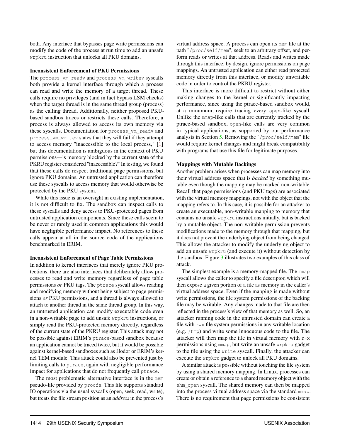both. Any interface that bypasses page write permissions can modify the code of the process at run time to add an unsafe wrpkru instruction that unlocks all PKU domains.

#### Inconsistent Enforcement of PKU Permissions

The process vm readv and process vm writev syscalls both provide a kernel interface through which a process can read and write the memory of a target thread. These calls require no privileges (and in fact bypass LSM checks) when the target thread is in the same thread group (process) as the calling thread. Additionally, neither proposed PKUbased sandbox traces or restricts these calls. Therefore, a process is always allowed to access its own memory via these syscalls. Documentation for process\_vm\_readv and process\_vm\_writev states that they will fail if they attempt to access memory "inaccessible to the local process," [\[1\]](#page-15-2) but this documentation is ambiguous in the context of PKU permissions—is memory blocked by the current state of the PKRU register considered "inaccessible?" In testing, we found that these calls do respect traditional page permissions, but ignore PKU domains. An untrusted application can therefore use these syscalls to access memory that would otherwise be protected by the PKU system.

While this issue is an oversight in existing implementation, it is not difficult to fix. The sandbox can inspect calls to these syscalls and deny access to PKU-protected pages from untrusted application components. Since these calls seem to be never or rarely used in common applications this would have negligible performance impact. No references to these calls appear at all in the source code of the applications benchmarked in ERIM.

#### Inconsistent Enforcement of Page Table Permissions

In addition to kernel interfaces that merely ignore PKU protections, there are also interfaces that deliberately allow processes to read and write memory regardless of page table permissions *or* PKU tags. The ptrace syscall allows reading and modifying memory without being subject to page permissions *or* PKU permissions, and a thread is always allowed to attach to another thread in the same thread group. In this way, an untrusted application can modify executable code even in a non-writable page to add unsafe wrpkru instructions, or simply read the PKU-protected memory directly, regardless of the current state of the PKRU register. This attack may not be possible against ERIM's ptrace-based sandbox because an application cannot be traced twice, but it would be possible against kernel-based sandboxes such as Hodor or ERIM's kernel TEM module. This attack could also be prevented just by limiting calls to ptrace, again with negligible performance impact for applications that do not frequently call ptrace.

The most problematic alternative interface is in the mem pseudo-file provided by procfs. This file supports standard IO operations via the usual syscalls (open, seek, read, write), but treats the file stream position as an *address* in the process's

virtual address space. A process can open its mem file at the path "/proc/self/mem", seek to an arbitrary offset, and perform reads or writes at that address. Reads and writes made through this interface, by design, ignore permissions on page mappings. An untrusted application can either read protected memory directly from this interface, or modify unwritable code in order to control the PKRU register.

This interface is more difficult to restrict without either making changes to the kernel or significantly impacting performance, since using the ptrace-based sandbox would, at a minumum, require tracing every open-like syscall. Unlike the mmap-like calls that are currently tracked by the ptrace-based sandbox, open-like calls are very common in typical applications, as supported by our performance analysis in Section [5.](#page-11-0) Removing the "/proc/self/mem" file would require kernel changes and might break compatibility with programs that use this file for legitimate purposes.

#### Mappings with Mutable Backings

Another problem arises when processes can map memory into their virtual address space that is *backed* by something mutable even though the mapping may be marked non-writable. Recall that page permissions (and PKU tags) are associated with the virtual memory mappings, not with the object that the mapping refers to. In this case, it is possible for an attacker to create an executable, non-writable mapping to memory that contains no unsafe wrpkru instructions initially, but is backed by a mutable object. The non-writable permission prevents modifications made to the memory through that mapping, but it does not prevent the underlying object from being changed. This allows the attacker to modify the underlying object to add an unsafe wrpkru (and execute it) without detection by the sandbox. Figure [3](#page-7-0) illustrates two examples of this class of attack.

The simplest example is a memory-mapped file. The mmap syscall allows the caller to specify a file descriptor, which will then expose a given portion of a file as memory in the caller's virtual address space. Even if the mapping is made without write permissions, the file system permissions of the backing file may be writable. Any changes made to that file are then reflected in the process's view of that memory as well. So, an attacker running code in the untrusted domain can create a file with rwx file system permissions in any writable location (e.g. /tmp) and write some innocuous code to the file. The attacker will then map the file in virtual memory with  $r-x$ permissions using mmap, but write an unsafe wrpkru gadget to the file using the write syscall. Finally, the attacker can execute the wrpkru gadget to unlock all PKU domains.

A similar attack is possible without touching the file system by using a shared memory mapping. In Linux, processes can create or obtain a reference to a shared memory object with the shm\_open syscall. The shared memory can then be mapped into the process virtual address space via the standard mmap. There is no requirement that page permissions be consistent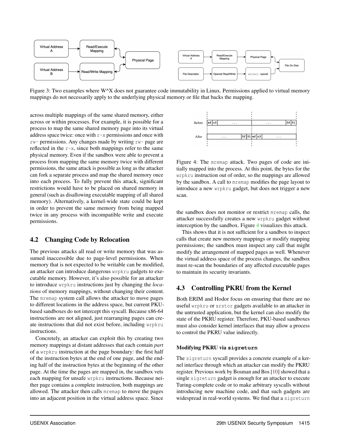

Figure 3: Two examples where W<sup> $\wedge$ </sup>X does not guarantee code immutability in Linux. Permissions applied to virtual memory mappings do not necessarily apply to the underlying physical memory or file that backs the mapping.

across multiple mappings of the same shared memory, either across or within processes. For example, it is possible for a process to map the same shared memory page into its virtual address space twice: once with  $r-x$  permissions and once with rw- permissions. Any changes made by writing rw- page are reflected in the r-x, since both mappings refer to the same physical memory. Even if the sandbox were able to prevent a process from mapping the same memory twice with different permissions, the same attack is possible as long as the attacker can fork a separate process and map the shared memory once into each process. To fully prevent this attack, significant restrictions would have to be placed on shared memory in general (such as disallowing executable mapping of all shared memory). Alternatively, a kernel-wide state could be kept in order to prevent the same memory from being mapped twice in any process with incompatible write and execute permissions.

## <span id="page-7-3"></span>4.2 Changing Code by Relocation

The previous attacks all read or write memory that was assumed inaccessible due to page-level permissions. When memory that is not expected to be writable can be modified, an attacker can introduce dangerous wrpkru gadgets to executable memory. However, it's also possible for an attacker to introduce wrpkru instructions just by changing the *locations* of memory mappings, without changing their content. The mremap system call allows the attacker to move pages to different locations in the address space, but current PKUbased sandboxes do not intercept this syscall. Because x86-64 instructions are not aligned, just rearranging pages can create instructions that did not exist before, including wrpkru instructions.

Concretely, an attacker can exploit this by creating two memory mappings at distant addresses that each contain *part* of a wrpkru instruction at the page boundary: the first half of the instruction bytes at the end of one page, and the ending half of the instruction bytes at the beginning of the other page. At the time the pages are mapped in, the sandbox vets each mapping for unsafe wrpkru instructions. Because neither page contains a complete instruction, both mappings are allowed. The attacker then calls mremap to move the pages into an adjacent position in the virtual address space. Since

<span id="page-7-0"></span>

<span id="page-7-1"></span>Figure 4: The mremap attack. Two pages of code are initially mapped into the process. At this point, the bytes for the wrpkru instruction out of order, so the mappings are allowed by the sandbox. A call to mremap modifies the page layout to introduce a new wrpkru gadget, but does not trigger a new scan.

the sandbox does not monitor or restrict mremap calls, the attacker successfully creates a new wrpkru gadget without interception by the sandbox. Figure [4](#page-7-1) visualizes this attack.

This shows that it is not sufficient for a sandbox to inspect calls that create new memory mappings or modify mapping permissions; the sandbox must inspect any call that might modify the arrangement of mapped pages as well. Whenever the virtual address space of the process changes, the sandbox must re-scan the boundaries of any affected executable pages to maintain its security invariants.

## <span id="page-7-2"></span>4.3 Controlling PKRU from the Kernel

Both ERIM and Hodor focus on ensuring that there are no useful wrpkru or xrstor gadgets available to an attacker in the untrusted application, but the kernel can also modify the state of the PKRU register. Therefore, PKU-based sandboxes must also consider kernel interfaces that may allow a process to control the PKRU value indirectly.

#### Modifying PKRU via **sigreturn**

The sigreturn syscall provides a concrete example of a kernel interface through which an attacker can modify the PKRU register. Previous work by Bosman and Bos [\[10\]](#page-15-3) showed that a single sigreturn gadget is enough for an attacker to execute Turing-complete code or to make arbitrary syscalls without introducing new machine code, and that such gadgets are widespread in real-world systems. We find that a sigreturn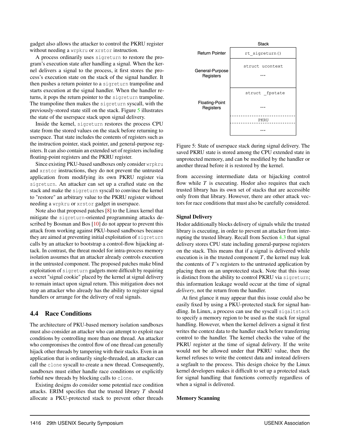gadget also allows the attacker to control the PKRU register without needing a wrpkru or xrstor instruction.

A process ordinarily uses sigreturn to restore the program's execution state after handling a signal. When the kernel delivers a signal to the process, it first stores the process's execution state on the stack of the signal handler. It then pushes a return pointer to a sigreturn trampoline and starts execution at the signal handler. When the handler returns, it pops the return pointer to the sigreturn trampoline. The trampoline then makes the sigreturn syscall, with the previously-stored state still on the stack. Figure [5](#page-8-0) illustrates the state of the userspace stack upon signal delivery.

Inside the kernel, sigreturn restores the process CPU state from the stored values on the stack before returning to userspace. That state includes the contents of registers such as the instruction pointer, stack pointer, and general-purpose registers. It can also contain an extended set of registers including floating-point registers and the PKRU register.

Since existing PKU-based sandboxes only consider wrpkru and xrstor instructions, they do not prevent the untrusted application from modifying its own PKRU register via sigreturn. An attacker can set up a crafted state on the stack and make the sigreturn syscall to convince the kernel to "restore" an arbitrary value to the PKRU register without needing a wrpkru or xrstor gadget in userspace.

Note also that proposed patches [\[8\]](#page-15-4) to the Linux kernel that mitigate the sigreturn-oriented programming attacks de-scribed by Bosman and Bos [\[10\]](#page-15-3) do not appear to prevent this attack from working against PKU-based sandboxes because they are aimed at preventing initial exploitation of sigreturn calls by an attacker to bootstrap a control-flow hijacking attack. In contrast, the threat model for intra-process memory isolation assumes that an attacker already controls execution in the untrusted component. The proposed patches make blind exploitation of sigreturn gadgets more difficult by requiring a secret "signal cookie" placed by the kernel at signal delivery to remain intact upon signal return. This mitigation does not stop an attacker who already has the ability to register signal handlers or arrange for the delivery of real signals.

#### 4.4 Race Conditions

The architecture of PKU-based memory isolation sandboxes must also consider an attacker who can attempt to exploit race conditions by controlling more than one thread. An attacker who compromises the control flow of one thread can generally hijack other threads by tampering with their stacks. Even in an application that is ordinarily single-threaded, an attacker can call the clone syscall to create a new thread. Consequently, sandboxes must either handle race conditions or explicitly forbid new threads by blocking calls to clone.

Existing designs do consider some potential race condition attacks. ERIM specifies that the trusted library *T* should allocate a PKU-protected stack to prevent other threads



<span id="page-8-0"></span>Figure 5: State of userspace stack during signal delivery. The saved PKRU state is stored among the CPU extended state in unprotected memory, and can be modified by the handler or another thread before it is restored by the kernel.

from accessing intermediate data or hijacking control flow while *T* is executing. Hodor also requires that each trusted library has its own set of stacks that are accessible only from that library. However, there are other attack vectors for race conditions that must also be carefully considered.

#### Signal Delivery

Hodor additionally blocks delivery of signals while the trusted library is executing, in order to prevent an attacker from interrupting the trusted library. Recall from Section [4.3](#page-7-2) that signal delivery stores CPU state including general-purpose registers on the stack. This means that if a signal is delivered while execution is in the trusted component  $T$ , the kernel may leak the contents of *T*'s registers to the untrusted application by placing them on an unprotected stack. Note that this issue is distinct from the ability to control PKRU via sigreturn; this information leakage would occur at the time of signal *delivery*, not the return from the handler.

At first glance it may appear that this issue could also be easily fixed by using a PKU-protected stack for signal handling. In Linux, a process can use the syscall sigaltstack to specify a memory region to be used as the stack for signal handling. However, when the kernel delivers a signal it first writes the context data to the handler stack before transferring control to the handler. The kernel checks the value of the PKRU register at the time of signal delivery. If the write would not be allowed under that PKRU value, then the kernel refuses to write the context data and instead delivers a segfault to the process. This design choice by the Linux kernel developers makes it difficult to set up a protected stack for signal handling that functions correctly regardless of when a signal is delivered.

#### Memory Scanning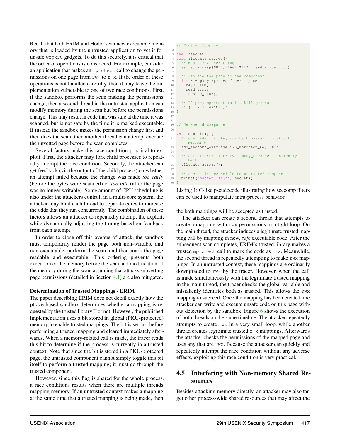Recall that both ERIM and Hodor scan new executable memory that is loaded by the untrusted application to vet it for unsafe wrpkru gadgets. To do this securely, it is critical that the order of operations is considered. For example, consider an application that makes an mprotect call to change the permissions on one page from  $rw$ - to  $r-x$ . If the order of these operations is not handled carefully, then it may leave the implementation vulnerable to one of two race conditions. First, if the sandbox performs the scan making the permissions change, then a second thread in the untrusted application can modify memory during the scan but before the permissions change. This may result in code that was safe at the time it was scanned, but is not safe by the time it is marked executable. If instead the sandbox makes the permission change first and then does the scan, then another thread can attempt execute the unvetted page before the scan completes.

Several factors make this race condition practical to exploit. First, the attacker may fork child processes to repeatedly attempt the race condition. Secondly, the attacker can get feedback (via the output of the child process) on whether an attempt failed because the change was made *too early* (before the bytes were scanned) or *too late* (after the page was no longer writable). Some amount of CPU scheduling is also under the attackers control; in a multi-core system, the attacker may bind each thread to separate cores to increase the odds that they run concurrently. The combination of these factors allows an attacker to repeatedly attempt the exploit, while dynamically adjusting the timing based on feedback from each attempt.

In order to close off this avenue of attack, the sandbox must temporarily render the page both non-writable and non-executable, perform the scan, and then mark the page readable and executable. This ordering prevents both execution of the memory before the scan and modification of the memory during the scan, assuming that attacks subverting page permissions (detailed in Section [4.1\)](#page-5-1) are also mitigated.

#### Determination of Trusted Mappings - ERIM

The paper describing ERIM does not detail exactly how the ptrace-based sandbox determines whether a mapping is requested by the trusted library T or not. However, the published implementation uses a bit stored in global (PKU-protected) memory to enable trusted mappings. The bit is set just before performing a trusted mapping and cleared immediately afterwards. When a memory-related call is made, the tracer reads this bit to determine if the process is currently in a trusted context. Note that since the bit is stored in a PKU-protected page, the untrusted component cannot simply toggle this bit itself to perform a trusted mapping; it must go through the trusted component.

However, since this flag is shared for the whole process, a race conditions results when there are multiple threads mapping memory. If an untrusted context makes a mapping at the same time that a trusted mapping is being made, then

```
1 // Trusted Component
 2
  char * secret;
  void allocate_secret () {
   // map a new secret page
    secret = \texttt{mmap} ( NULL, PAGE\_SIZE, read\_write, ...);
     // isolate the page to the component
9 int r = pkey_mprotect (secret_page,<br>10 PAGE SIZE,
       PAGE SIZE.
11 read_write<br>12 TRUSTED PK
       TRUSTED_PKEY):
13
14 // If pkey_mprotect fails, kill process
15 if (r = 0) exit (1);
16 }
17
18
19 // Untrusted Component
20
21 void exploit () {
22 // override the pkey_mprotect syscall to skip but
       return 0
23 add_seccomp_override ( SYS_mprotect_key , 0) ;
24
25 // call trusted library - pkey_mprotect () silently
        fails
26 allocate secret () ;
27
28 // secret is accessible to untrusted component
29 printf ("secret: %s\n", secret );
30 }
```
<span id="page-9-0"></span>Listing 1: C-like pseudocode illustrating how seccomp filters can be used to manipulate intra-process behavior.

the both mappings will be accepted as trusted.

The attacker can create a second thread that attempts to create a mapping with rwx permissions in a tight loop. On the main thread, the attacker induces a legitimate trusted mapping call by mapping in new, *safe* executable code. After the subsequent scan completes, ERIM's trusted library makes a trusted mprotect call to mark the code as r-x. Meanwhile, the second thread is repeatedly attempting to make rwx mappings. In an untrusted context, these mappings are ordinarily downgraded to rw- by the tracer. However, when the call is made simultaneously with the legitimate trusted mapping in the main thread, the tracer checks the global variable and mistakenly identifies both as trusted. This allows the rwx mapping to succeed. Once the mapping has been created, the attacker can write and execute unsafe code on this page without detection by the sandbox. Figure  $6$  shows the execution of both threads on the same timeline. The attacker repeatedly attempts to create rwx in a very small loop, while another thread creates legitimate trusted  $r-x$  mappings. Afterwards the attacker checks the permissions of the mapped page and uses any that are rwx. Because the attacker can quickly and repeatedly attempt the race condition without any adverse effects, exploiting this race condition is very practical.

# <span id="page-9-1"></span>4.5 Interfering with Non-memory Shared Resources

Besides attacking memory directly, an attacker may also target other process-wide shared resources that may affect the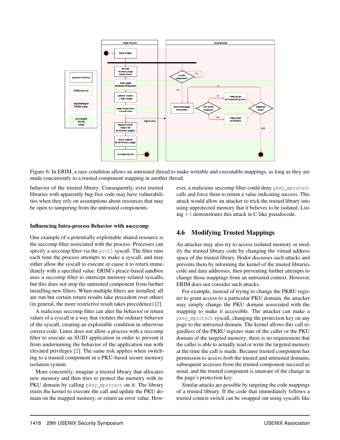

<span id="page-10-0"></span>Figure 6: In ERIM, a race condition allows an untrusted thread to make writable and executable mappings, as long as they are made concurrently to a trusted component mapping in another thread.

behavior of the trusted library. Consequently, even trusted libraries with apparently bug-free code may have vulnerabilities when they rely on assumptions about resources that may be open to tampering from the untrusted components.

#### Influencing Intra-process Behavior with **seccomp**

One example of a potentially exploitable shared resource is the seccomp filter associated with the process. Processes can specify a seccomp filter via the prctl syscall. The filter runs each time the process attempts to make a syscall, and may either allow the syscall to execute or cause it to return immediately with a specified value. ERIM's ptrace-based sandbox uses a seccomp filter to intercept memory-related syscalls, but this does not stop the untrusted component from further installing new filters. When multiple filters are installed, all are run but certain return results take precedent over others (in general, the more restrictive result takes precedence) [\[2\]](#page-15-0).

A malicious seccomp filter can alter the behavior or return values of a syscall in a way that violates the ordinary behavior of the syscall, creating an exploitable condition in otherwise correct code. Linux does not allow a process with a seccomp filter to execute an SUID application in order to prevent it from undermining the behavior of the application run with elevated privileges [\[2\]](#page-15-0). The same risk applies when switching to a trusted component in a PKU-based secure memory isolation system.

More concretely, imagine a trusted library that allocates new memory and then tries to protect the memory with its PKU domain by calling pkey\_mprotect on it. The library trusts the kernel to execute the call and update the PKU domain on the mapped memory, or return an error value. However, a malicious seccomp filter could deny pkey\_mprotect calls and force them to return a value indicating success. This attack would allow an attacker to trick the trusted library into using unprotected memory that it believes to be isolated. Listing [4.4](#page-9-0) demonstrates this attack in C-like pseudocode.

## <span id="page-10-1"></span>4.6 Modifying Trusted Mappings

An attacker may also try to access isolated memory or modify the trusted library code by changing the virtual address space of the trusted library. Hodor discusses such attacks and prevents them by informing the kernel of the trusted libraries code and data addresses, then preventing further attempts to change those mappings from an untrusted context. However, ERIM does not consider such attacks.

For example, instead of trying to change the PKRU register to grant access to a particular PKU domain, the attacker may simply change the PKU domain associated with the mapping to make it accessible. The attacker can make a pkey\_mprotect syscall, changing the protection key on any page to the untrusted domain. The kernel allows this call regardless of the PKRU register state of the caller or the PKU domain of the targeted memory; there is no requirement that the caller is able to actually read or write the targeted memory at the time the call is made. Because trusted component has permission to access *both* the trusted and untrusted domains, subsequent accesses from the trusted component succeed as usual, and the trusted component is unaware of the change in the page's protection key.

Similar attacks are possible by targeting the code mappings of a trusted library. If the code that immediately follows a trusted context switch can be swapped out using syscalls like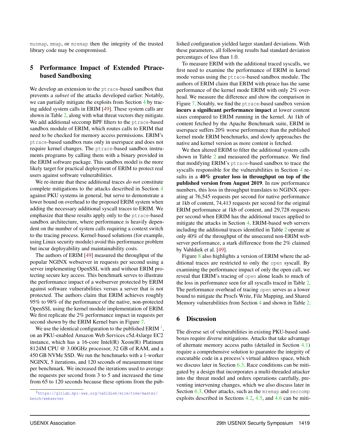munmap, mmap, or mremap then the integrity of the trusted library code may be compromised.

## <span id="page-11-0"></span>5 Performance Impact of Extended Ptracebased Sandboxing

We develop an extension to the ptrace-based sandbox that prevents a *subset* of the attacks developed earlier. Notably, we can partially mitigate the exploits from Section [4](#page-5-0) by tracing added system calls in ERIM [\[49\]](#page-17-0). These system calls are shown in Table [2,](#page-12-0) along with what threat vectors they mitigate. We add additional seccomp BPF filters to the ptrace-based sandbox module of ERIM, which routes calls to ERIM that need to be checked for memory access permissions. ERIM's ptrace-based sandbox runs only in userspace and does not require kernel changes. The ptrace-based sandbox instruments programs by calling them with a binary provided in the ERIM software package. This sandbox model is the more likely target for practical deployment of ERIM to protect real users against software vulnerabilities.

We re-iterate that these additional traces *do not* constitute complete mitigations to the attacks described in Section [4](#page-5-0) against PKU systems in general, but serve to demonstrate a lower bound on overhead to the proposed ERIM system when adding the necessary additional syscall traces to ERIM. We emphasize that these results apply only to the ptrace-based sandbox architecture, where performance is heavily dependent on the number of system calls requiring a context switch to the tracing process. Kernel-based solutions (for example, using Linux security module) avoid this performance problem but incur deployability and maintainability costs.

The authors of ERIM [\[49\]](#page-17-0) measured the throughput of the popular NGINX webserver in requests per second using a server implementing OpenSSL with and without ERIM protecting secure key access. This benchmark serves to illustrate the performance impact of a webserver protected by ERIM against software vulnerabilities versus a server that is not protected. The authors claim that ERIM achieves roughly 95% to 98% of the performance of the native, non-protected OpenSSL using the kernel module implementation of ERIM. We first replicate the 2% performance impact in requests per second shown by the ERIM Kernel bars in Figure [7.](#page-12-1)

We use the identical configuration to the published ERIM  $<sup>1</sup>$  $<sup>1</sup>$  $<sup>1</sup>$ ,</sup> on an PKU-enabled Amazon Web Services c5d.4xlarge EC2 instance, which has a 16-core Intel $(R)$  Xeon $(R)$  Platinum 8124M CPU @ 3.00GHz processor, 32 GB of RAM, and a 450 GB NVMe SSD. We run the benchmarks with a 1-worker NGINX, 5 iterations, and 120 seconds of measurement time per benchmark. We increased the iterations used to average the requests per second from 3 to 5 and increased the time from 65 to 120 seconds because these options from the published configuration yielded larger standard deviations. With these parameters, all following results had standard deviation percentages of less than 1.0.

To measure ERIM with the additional traced syscalls, we first need to examine the performance of ERIM in kernel mode versus using the ptrace-based sandbox module. The authors of ERIM claim that ERIM with ptrace has the same performance of the kernel mode ERIM with only 2% overhead. We measure the difference and show the comparison in Figure [7.](#page-12-1) Notably, we find the ptrace-based sandbox version incurs a significant performance impact at lower content sizes compared to ERIM running in the kernel. At 1kb of content fetched by the Apache Benchmark suite, ERIM in userspace suffers 20% worse performance than the published kernel mode ERIM benchmarks, and slowly approaches the native and kernel version as more content is fetched.

We then altered ERIM to filter the additional system calls shown in Table [2](#page-12-0) and measured the performance. We find that modifying ERIM's ptrace-based sandbox to trace the syscalls responsible for the vulnerabilities in Section [4](#page-5-0) results in a 40% greater loss in throughput on top of the published version from August 2019. In raw performance numbers, this loss in throughput translates to NGINX operating at 76,545 requests per second for native performance at 1kb of content, 74,413 requests per second for the original ERIM performance at 1kb of content, and 29,728 requests per second when ERIM has the additional traces applied to mitigate the attacks in Section [4.](#page-5-0) ERIM-based web servers including the additional traces identified in Table [2](#page-12-0) operate at only 40% of the throughput of the unsecured non-ERIM webserver performance, a stark difference from the 2% claimed by Vahldiek et al. [\[49\]](#page-17-0).

Figure [8](#page-12-2) also highlights a version of ERIM where the additional traces are restricted to only the open syscall. By examining the performance impact of only the open call, we reveal that ERIM's tracing of open alone leads to much of the loss in performance seen for all syscalls traced in Table [2.](#page-12-0) The performance overhead of tracing open serves as a lower bound to mitigate the Procfs Write, File Mapping, and Shared Memory vulnerabilities from Section [4](#page-5-0) and shown in Table [2.](#page-12-0)

## 6 Discussion

The diverse set of vulnerabilities in existing PKU-based sandboxes require diverse mitigations. Attacks that take advantage of alternate memory access paths (detailed in Section [4.1\)](#page-5-1) require a comprehensive solution to guarantee the integrity of executable code in a process's virtual address space, which we discuss later in Section [6.3.](#page-13-0) Race conditions can be mitigated by a design that incorporates a multi-threaded attacker into the threat model and orders operations carefully, preventing intervening changes, which we also discuss later in Section [6.3.](#page-13-0) Other attacks, such as the mremap and seccomp exploits described in Sections [4.2,](#page-7-3) [4.5,](#page-9-1) and [4.6](#page-10-1) can be miti-

<span id="page-11-1"></span><sup>1</sup>[https://gitlab.mpi-sws.org/vahldiek/erim/tree/master/](https://gitlab.mpi-sws.org/vahldiek/erim/tree/master/bench/webserver) [bench/webserver](https://gitlab.mpi-sws.org/vahldiek/erim/tree/master/bench/webserver)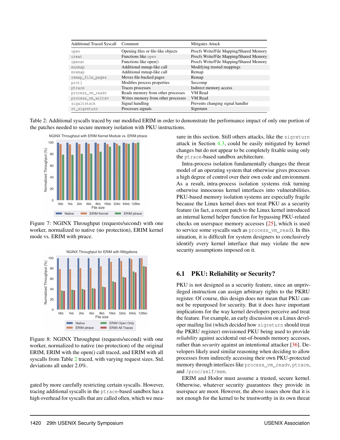| <b>Additional Traced Syscall</b> | Comment                            | Mitigates Attack                        |
|----------------------------------|------------------------------------|-----------------------------------------|
| open                             | Opening files or file-like objects | Procfs Write/File Mapping/Shared Memory |
| creat.                           | Functions like open                | Procfs Write/File Mapping/Shared Memory |
| openat                           | Functions like open()              | Procfs Write/File Mapping/Shared Memory |
| munmap                           | Additional mmap-like call          | Modifying trusted mappings              |
| mremap                           | Additional mmap-like call          | Remap                                   |
| remap_file_pages                 | Moves file-backed pages            | Remap                                   |
| prctl                            | Modifies process properties        | Seccomp                                 |
| ptrace                           | Traces processes                   | Indirect memory access                  |
| process_vm_readv                 | Reads memory from other processes  | <b>VM</b> Read                          |
| process_vm_writev                | Writes memory from other processes | <b>VM</b> Read                          |
| sigaltstack                      | Signal handling                    | Prevents changing signal handler        |
| rt_sigreturn                     | Processes signals                  | Sigreturn                               |

Table 2: Additional syscalls traced by our modified ERIM in order to demonstrate the performance impact of only one portion of the patches needed to secure memory isolation with PKU instructions.



Figure 7: NGINX Throughput (requests/second) with one worker, normalized to native (no protection), ERIM kernel mode vs. ERIM with ptrace.



Figure 8: NGINX Throughput (requests/second) with one worker, normalized to native (no protection) of the original ERIM, ERIM with the open() call traced, and ERIM with all syscalls from Table [2](#page-12-0) traced, with varying request sizes. Std. deviations all under 2.0%.

gated by more carefully restricting certain syscalls. However, tracing additional syscalls in the ptrace-based sandbox has a high overhead for syscalls that are called often, which we mea-

<span id="page-12-0"></span>sure in this section. Still others attacks, like the sigreturn attack in Section [4.3,](#page-7-2) could be easily mitigated by kernel changes but do not appear to be completely fixable using only the ptrace-based sandbox architecture.

<span id="page-12-1"></span>Intra-process isolation fundamentally changes the threat model of an operating system that otherwise gives processes a high degree of control over their own code and environment. As a result, intra-process isolation systems risk turning otherwise innocuous kernel interfaces into vulnerabilities. PKU-based memory isolation systems are especially fragile because the Linux kernel does not treat PKU as a security feature (in fact, a recent patch to the Linux kernel introduced an internal kernel helper function for bypassing PKU-related checks on userspace memory accesses [\[25\]](#page-16-2), which is used to service some syscalls such as process\_vm\_read). In this situation, it is difficult for system designers to conclusively identify every kernel interface that may violate the new security assumptions imposed on it.

# 6.1 PKU: Reliability or Security?

<span id="page-12-2"></span>PKU is not designed as a security feature, since an unprivileged instruction can assign arbitrary rights to the PKRU register. Of course, this design does not mean that PKU cannot be repurposed for security. But it does have important implications for the way kernel developers perceive and treat the feature. For example, an early discussion on a Linux developer mailing list (which decided how sigreturn should treat the PKRU register) envisioned PKU being used to provide *reliability* against accidental out-of-bounds memory accesses, rather than *security* against an intentional attacker [\[36\]](#page-17-7). Developers likely used similar reasoning when deciding to allow processes from indirectly accessing their own PKU-protected memory through interfaces like process\_vm\_readv, ptrace, and /proc/self/mem.

ERIM and Hodor must assume a trusted, secure kernel. Otherwise, whatever security guarantees they provide in userspace are moot. However, the above issues show that it is not enough for the kernel to be trustworthy in its own threat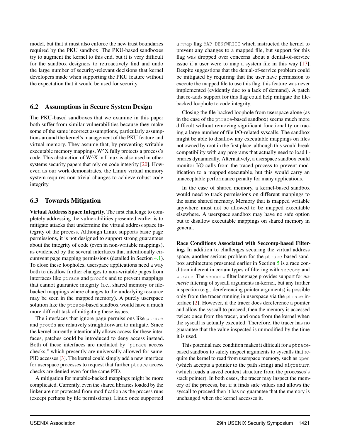model, but that it must also enforce the new trust boundaries required by the PKU sandbox. The PKU-based sandboxes try to augment the kernel to this end, but it is very difficult for the sandbox designers to retroactively find and undo the large number of security-relevant decisions that kernel developers made when supporting the PKU feature without the expectation that it would be used for security.

## 6.2 Assumptions in Secure System Design

The PKU-based sandboxes that we examine in this paper both suffer from similar vulnerabilities because they make some of the same incorrect assumptions, particularly assumptions around the kernel's management of the PKU feature and virtual memory. They assume that, by preventing writable executable memory mappings, W^X fully protects a process's code. This abstraction of W^X in Linux is also used in other systems security papers that rely on code integrity [\[20\]](#page-16-8). However, as our work demonstrates, the Linux virtual memory system requires non-trivial changes to achieve robust code integrity.

# <span id="page-13-0"></span>6.3 Towards Mitigation

Virtual Address Space Integrity. The first challenge to completely addressing the vulnerabilities presented earlier is to mitigate attacks that undermine the virtual address space integrity of the process. Although Linux supports basic page permissions, it is not designed to support strong guarantees about the integrity of code (even in non-writable mappings), as evidenced by the several interfaces that intentionally circumvent page mapping permissions (detailed in Section [4.1\)](#page-5-1). To close these loopholes, userspace applications need a way both to disallow further changes to non-writable pages from interfaces like ptrace and procfs and to prevent mappings that cannot guarantee integrity (i.e., shared memory or filebacked mappings where changes to the underlying resource may be seen in the mapped memory). A purely userspace solution like the ptrace-based sandbox would have a much more difficult task of mitigating these issues.

The interfaces that ignore page permissions like ptrace and procfs are relatively straightforward to mitigate. Since the kernel currently intentionally allows access for these interfaces, patches could be introduced to deny access instead. Both of these interfaces are mediated by "ptrace access checks," which presently are universally allowed for same-PID accesses [\[3\]](#page-15-5). The kernel could simply add a new interface for userspace processes to request that further ptrace access checks are denied even for the same PID.

A mitigation for mutable-backed mappings might be more complicated. Currently, even the shared libraries loaded by the linker are not protected from modification as the process runs (except perhaps by file permissions). Linux once supported a mmap flag MAP\_DENYWRITE which instructed the kernel to prevent any changes to a mapped file, but support for this flag was dropped over concerns about a denial-of-service issue if a user were to map a system file in this way [\[17\]](#page-16-9). Despite suggestions that the denial-of-service problem could be mitigated by requiring that the user have permission to execute the mapped file to use this flag, this feature was never implemented (evidently due to a lack of demand). A patch that re-adds support for this flag could help mitigate the filebacked loophole to code integrity.

Closing the file-backed loophole from userspace alone (as in the case of the ptrace-based sandbox) seems much more difficult without removing significant functionality or tracing a large number of file I/O-related syscalls. The sandbox might be able to disallow any executable mappings on files not owned by root in the first place, although this would break compatibility with any programs that actually need to load libraries dynamically. Alternatively, a userspace sandbox could monitor I/O calls from the traced process to prevent modification to a mapped executable, but this would carry an unacceptable performance penalty for many applications.

In the case of shared memory, a kernel-based sandbox would need to track permissions on different mappings to the same shared memory. Memory that is mapped writable anywhere must not be allowed to be mapped executable elsewhere. A userspace sandbox may have no safe option but to disallow executable mappings on shared memory in general.

Race Conditions Associated with Seccomp-based Filtering. In addition to challenges securing the virtual address space, another serious problem for the ptrace-based sandbox architecture presented earlier in Section [5](#page-11-0) is a race condition inherent in certain types of filtering with seccomp and ptrace. The seccomp filter language provides support for *numeric* filtering of syscall arguments in-kernel, but any further inspection (e.g., dereferencing pointer arguments) is possible only from the tracer running in userspace via the ptrace interface [\[2\]](#page-15-0). However, if the tracer does dereference a pointer and allow the syscall to proceed, then the memory is accessed twice: once from the tracer, and once from the kernel when the syscall is actually executed. Therefore, the tracer has no guarantee that the value inspected is unmodified by the time it is used.

This potential race condition makes it difficult for a ptracebased sandbox to safely inspect arguments to syscalls that require the kernel to read from userspace memory, such as open (which accepts a pointer to the path string) and sigreturn (which reads a saved context structure from the processes's stack pointer). In both cases, the tracer may inspect the memory of the process, but if it finds safe values and allows the syscall to proceed then it has no guarantee that the memory is unchanged when the kernel accesses it.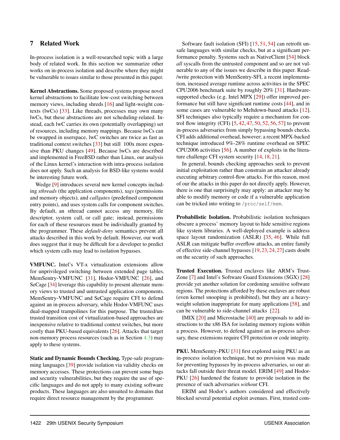## <span id="page-14-0"></span>7 Related Work

In-process isolation is a well-researched topic with a large body of related work. In this section we summarize other works on in-process isolation and describe where they might be vulnerable to issues similar to those presented in this paper.

Kernel Abstractions. Some proposed systems propose novel kernel abstractions to facilitate low-cost switching between memory views, including shreds [\[16\]](#page-16-10) and light-weight contexts (lwCs) [\[33\]](#page-16-11). Like threads, processes may own many lwCs, but these abstractions are not scheduling-related. Instead, each lwC carries its own (potentially overlapping) set of resources, including memory mappings. Because lwCs can be swapped in userspace, lwC switches are twice as fast as traditional context switches [\[33\]](#page-16-11) but still 100x more expensive than PKU changes [\[49\]](#page-17-0). Because lwCs are described and implemented in FreeBSD rather than Linux, our analysis of the Linux kernel's interaction with intra-process isolation does not apply. Such an analysis for BSD-like systems would be interesting future work.

Wedge [\[9\]](#page-15-6) introduces several new kernel concepts including *sthreads* (the application components), *tags* (permissions and memory objects), and *callgates* (predefined component entry points), and uses system calls for component switches. By default, an sthread cannot access any memory, file descriptor, system call, or call gate; instead, permissions for each of these resources must be individually granted by the programmer. These *default-deny* semantics prevent all attacks described in this work by default. However, our work does suggest that it may be difficult for a developer to predict which system calls may lead to isolation bypasses.

VMFUNC. Intel's VT-x virtualization extensions allow for unprivileged switching between extended page tables. MemSentry-VMFUNC [\[31\]](#page-16-3), Hodor-VMFUNC [\[26\]](#page-16-0), and SeCage [\[34\]](#page-17-8) leverage this capability to present alternate memory views to trusted and untrusted application components. MemSentry-VMFUNC and SeCage require CFI to defend against an in-process adversary, while Hodor-VMFUNC uses dual-mapped trampolines for this purpose. The trusted/untrusted transition cost of virtualization-based approaches are inexpensive relative to traditional context switches, but more costly than PKU-based equivalents [\[26\]](#page-16-0). Attacks that target non-memory process resources (such as in Section [4.3\)](#page-7-2) may apply to these systems.

Static and Dynamic Bounds Checking. Type-safe programming languages [\[39\]](#page-17-9) provide isolation via validity checks on memory accesses. These protections can prevent some bugs and security vulnerabilities, but they require the use of specific languages and do not apply to many existing software products. These languages are also unsuited to domains that require direct resource management by the programmer.

Software fault isolation (SFI) [\[15,](#page-16-12) [51,](#page-17-10) [54\]](#page-17-11) can retrofit unsafe languages with similar checks, but at a significant performance penalty. Systems such as NativeClient [\[54\]](#page-17-11) block *all* syscalls from the untrusted component and so are not vulnerable to any of the issues we describe in this paper. Read- /write protection with MemSentry-SFI, a recent implementation, increased average runtime across activities in the SPEC CPU2006 benchmark suite by roughly 20% [\[31\]](#page-16-3). Hardwaresupported checks (e.g. Intel MPX [\[29\]](#page-16-1)) offer improved performance but still have significant runtime costs [\[44\]](#page-17-12), and in some cases are vulnerable to Meltdown-based attacks [\[12\]](#page-15-7). SFI techniques also typically require a mechanism for control flow integrity (CFI) [\[5,](#page-15-8) [42,](#page-17-13) [47,](#page-17-3) [50,](#page-17-14) [52,](#page-17-4) [56,](#page-18-2) [57\]](#page-18-0) to prevent in-process adversaries from simply bypassing bounds checks. CFI adds additional overhead, however; a recent MPX-backed technique introduced 9%-28% runtime overhead on SPEC CPU2006 activities [\[56\]](#page-18-2). A number of exploits in the literature challenge CFI system security [\[14,](#page-16-13) [18,](#page-16-14) [21\]](#page-16-5).

In general, bounds checking approaches seek to prevent initial exploitation rather than constrain an attacker already executing arbitrary control-flow attacks. For this reason, most of our the attacks in this paper do not directly apply. However, there is one that surprisingly may apply: an attacker may be able to modify memory or code if a vulnerable application can be tricked into writing to /proc/self/mem.

Probabilistic Isolation. Probabilistic isolation techniques obscure a process' memory layout to hide sensitive regions like system libraries. A well-deployed example is address space layout randomization (ASLR) [\[35,](#page-17-15) [46\]](#page-17-16). While full ASLR can mitigate buffer overflow attacks, an entire family of effective side-channel bypasses [\[19,](#page-16-15) [23,](#page-16-16) [24,](#page-16-17) [27\]](#page-16-18) casts doubt on the security of such approaches.

Trusted Execution. Trusted enclaves like ARM's Trust-Zone [\[7\]](#page-15-9) and Intel's Software Guard Extensions (SGX) [\[28\]](#page-16-19) provide yet another solution for cordoning sensitive software regions. The protections afforded by these enclaves are robust (even kernel snooping is prohibited), but they are a heavyweight solution inappropriate for many applications [\[58\]](#page-18-3), and can be vulnerable to side-channel attacks [\[22\]](#page-16-20).

IMIX [\[20\]](#page-16-8) and Microstache [\[40\]](#page-17-17) are proposals to add instructions to the x86 ISA for isolating memory regions within a process. However, to defend against an in-process adversary, these extensions require CFI protection or code integrity.

PKU. MemSentry-PKU [\[31\]](#page-16-3) first explored using PKU as an in-process isolation technique, but no provision was made for preventing bypasses by in-process adversaries, so our attacks fall outside their threat model. ERIM [\[49\]](#page-17-0) and Hodor-PKU [\[26\]](#page-16-0) hardened the feature to provide isolation in the presence of such adversaries *without* CFI.

ERIM and Hodor's authors considered and effectively blocked several potential exploit avenues. First, trusted com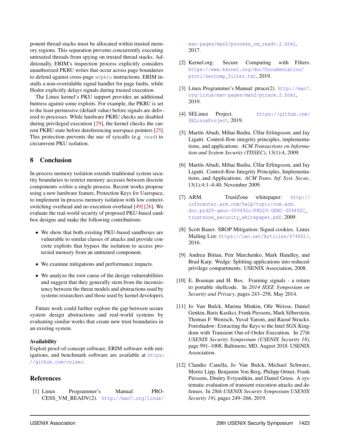ponent thread stacks must be allocated within trusted memory regions. This separation prevents concurrently executing untrusted threads from spying on trusted thread stacks. Additionally, ERIM's inspection process explicitly considers unauthorized PKRU writes that occur across page boundaries to defend against cross-page wrpkru instructions. ERIM installs a non-overridable signal handler for page faults, while Hodor explicitly delays signals during trusted execution.

The Linux kernel's PKU support provides an additional buttress against some exploits. For example, the PKRU is set to the least-permissive (default value) before signals are delivered to processes. While hardware PKRU checks are disabled during privileged execution [\[29\]](#page-16-1), the kernel checks the current PKRU state before dereferencing userspace pointers [\[25\]](#page-16-2). This protection prevents the use of syscalls (e.g. read) to circumvent PKU isolation.

# 8 Conclusion

In-process memory isolation extends traditional system security boundaries to restrict memory accesses between discrete components *within* a single process. Recent works propose using a new hardware feature, Protection Keys for Userspace, to implement in-process memory isolation with low contextswitching overhead and no execution overhead [\[49\]](#page-17-0) [\[26\]](#page-16-0). We evaluate the real-world security of proposed PKU-based sandbox designs and make the following contributions:

- We show that both existing PKU-based sandboxes are vulnerable to similar classes of attacks and provide concrete exploits that bypass the isolation to access protected memory from an untrusted component.
- We examine mitigations and performance impacts.
- We analyze the root cause of the design vulnerabilities and suggest that they generally stem from the inconsistency between the threat models and abstractions used by systems researchers and those used by kernel developers.

Future work could further explore the gap between secure system design abstractions and real-world systems by evaluating similar works that create new trust boundaries in an existing system.

#### Availability

Exploit proof-of-concept software, ERIM software with mitigations, and benchmark software are available at [https:](https://github.com/volsec) [//github.com/volsec](https://github.com/volsec).

## References

<span id="page-15-2"></span>[1] Linux Programmer's Manual: PRO-CESS\_VM\_READV(2). [http://man7.org/linux/](http://man7.org/linux/man-pages/man2/process_vm_readv.2.html)

[man-pages/man2/process\\_vm\\_readv.2.html](http://man7.org/linux/man-pages/man2/process_vm_readv.2.html), 2017.

- <span id="page-15-0"></span>[2] Kernel.org: Secure Computing with Filters. [https://www.kernel.org/doc/Documentation/](https://www.kernel.org/doc/Documentation/prctl/seccomp_filter.txt) [prctl/seccomp\\_filter.txt](https://www.kernel.org/doc/Documentation/prctl/seccomp_filter.txt), 2019.
- <span id="page-15-5"></span>[3] Linux Programmer's Manual: ptrace(2). [http://man7.](http://man7.org/linux/man-pages/man2/ptrace.2.html) [org/linux/man-pages/man2/ptrace.2.html](http://man7.org/linux/man-pages/man2/ptrace.2.html), 2019.
- [4] SELinux Project. [https://github.com/](https://github.com/SELinuxProject) [SELinuxProject](https://github.com/SELinuxProject), 2019.
- <span id="page-15-8"></span>[5] Martín Abadi, Mihai Budiu, Úlfar Erlingsson, and Jay Ligatti. Control-flow integrity principles, implementations, and applications. *ACM Transactions on Information and System Security (TISSEC)*, 13(1):4, 2009.
- [6] Martín Abadi, Mihai Budiu, Úlfar Erlingsson, and Jay Ligatti. Control-flow Integrity Principles, Implementations, and Applications. *ACM Trans. Inf. Syst. Secur.*, 13(1):4:1–4:40, November 2009.
- <span id="page-15-9"></span>[7] ARM. TrustZone whitepaper: [http://](http://infocenter.arm.com/help/topic/com.arm.doc.prd29-genc-009492c/PRD29-GENC-009492C_trustzone_security_whitepaper.pdf) [infocenter.arm.com/help/topic/com.arm.](http://infocenter.arm.com/help/topic/com.arm.doc.prd29-genc-009492c/PRD29-GENC-009492C_trustzone_security_whitepaper.pdf) [doc.prd29-genc-009492c/PRD29-GENC-009492C\\_](http://infocenter.arm.com/help/topic/com.arm.doc.prd29-genc-009492c/PRD29-GENC-009492C_trustzone_security_whitepaper.pdf) [trustzone\\_security\\_whitepaper.pdf](http://infocenter.arm.com/help/topic/com.arm.doc.prd29-genc-009492c/PRD29-GENC-009492C_trustzone_security_whitepaper.pdf), 2009.
- <span id="page-15-4"></span>[8] Scott Bauer. SROP Mitigation: Signal cookies. Linux Mailing List: <https://lwn.net/Articles/674861/>, 2016.
- <span id="page-15-6"></span>[9] Andrea Bittau, Petr Marchenko, Mark Handley, and Brad Karp. Wedge: Splitting applications into reducedprivilege compartments. USENIX Association, 2008.
- <span id="page-15-3"></span>[10] E. Bosman and H. Bos. Framing signals - a return to portable shellcode. In *2014 IEEE Symposium on Security and Privacy*, pages 243–258, May 2014.
- <span id="page-15-1"></span>[11] Jo Van Bulck, Marina Minkin, Ofir Weisse, Daniel Genkin, Baris Kasikci, Frank Piessens, Mark Silberstein, Thomas F. Wenisch, Yuval Yarom, and Raoul Strackx. Foreshadow: Extracting the Keys to the Intel SGX Kingdom with Transient Out-of-Order Execution. In *27th USENIX Security Symposium (USENIX Security 18)*, page 991–1008, Baltimore, MD, August 2018. USENIX Association.
- <span id="page-15-7"></span>[12] Claudio Canella, Jo Van Bulck, Michael Schwarz, Moritz Lipp, Benjamin Von Berg, Philipp Ortner, Frank Piessens, Dmitry Evtyushkin, and Daniel Gruss. A systematic evaluation of transient execution attacks and defenses. In *28th USENIX Security Symposium USENIX Security 19)*, pages 249–266, 2019.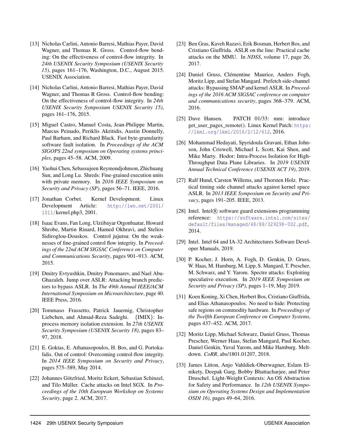- <span id="page-16-4"></span>[13] Nicholas Carlini, Antonio Barresi, Mathias Payer, David Wagner, and Thomas R. Gross. Control-flow bending: On the effectiveness of control-flow integrity. In *24th USENIX Security Symposium (USENIX Security 15)*, pages 161–176, Washington, D.C., August 2015. USENIX Association.
- <span id="page-16-13"></span>[14] Nicholas Carlini, Antonio Barresi, Mathias Payer, David Wagner, and Thomas R Gross. Control-flow bending: On the effectiveness of control-flow integrity. In *24th USENIX Security Symposium USENIX Security 15)*, pages 161–176, 2015.
- <span id="page-16-12"></span>[15] Miguel Castro, Manuel Costa, Jean-Philippe Martin, Marcus Peinado, Periklis Akritidis, Austin Donnelly, Paul Barham, and Richard Black. Fast byte-granularity software fault isolation. In *Proceedings of the ACM SIGOPS 22nd symposium on Operating systems principles*, pages 45–58. ACM, 2009.
- <span id="page-16-10"></span>[16] Yaohui Chen, Sebassujeen Reymondjohnson, Zhichuang Sun, and Long Lu. Shreds: Fine-grained execution units with private memory. In *2016 IEEE Symposium on Security and Privacy (SP)*, pages 56–71. IEEE, 2016.
- <span id="page-16-9"></span>[17] Jonathan Corbet. Kernel Development. Linux Development Article: [http://lwn.net/2001/](http://lwn.net/2001/1011/) [1011/](http://lwn.net/2001/1011/)kernel.php3, 2001.
- <span id="page-16-14"></span>[18] Isaac Evans, Fan Long, Ulziibayar Otgonbaatar, Howard Shrobe, Martin Rinard, Hamed Okhravi, and Stelios Sidiroglou-Douskos. Control jujutsu: On the weaknesses of fine-grained control flow integrity. In *Proceedings of the 22nd ACM SIGSAC Conference on Computer and Communications Security*, pages 901–913. ACM, 2015.
- <span id="page-16-15"></span>[19] Dmitry Evtyushkin, Dmitry Ponomarev, and Nael Abu-Ghazaleh. Jump over ASLR: Attacking branch predictors to bypass ASLR. In *The 49th Annual IEEE/ACM International Symposium on Microarchitecture*, page 40. IEEE Press, 2016.
- <span id="page-16-8"></span>[20] Tommaso Frassetto, Patrick Jauernig, Christopher Liebchen, and Ahmad-Reza Sadeghi. {IMIX}: Inprocess memory isolation extension. In *27th USENIX Security Symposium (USENIX Security 18)*, pages 83– 97, 2018.
- <span id="page-16-5"></span>[21] E. Goktas, E. Athanasopoulos, H. Bos, and G. Portokalidis. Out of control: Overcoming control-flow integrity. In *2014 IEEE Symposium on Security and Privacy*, pages 575–589, May 2014.
- <span id="page-16-20"></span>[22] Johannes Götzfried, Moritz Eckert, Sebastian Schinzel, and Tilo Müller. Cache attacks on Intel SGX. In *Proceedings of the 10th European Workshop on Systems Security*, page 2. ACM, 2017.
- <span id="page-16-16"></span>[23] Ben Gras, Kaveh Razavi, Erik Bosman, Herbert Bos, and Cristiano Giuffrida. ASLR on the line: Practical cache attacks on the MMU. In *NDSS*, volume 17, page 26, 2017.
- <span id="page-16-17"></span>[24] Daniel Gruss, Clémentine Maurice, Anders Fogh, Moritz Lipp, and Stefan Mangard. Prefetch side-channel attacks: Bypassing SMAP and kernel ASLR. In *Proceedings of the 2016 ACM SIGSAC conference on computer and communications security*, pages 368–379. ACM, 2016.
- <span id="page-16-2"></span>[25] Dave Hansen. PATCH 01/33: mm: introduce get\_user\_pages\_remote(). Linux Kernel Patch: [https:](https://lkml.org/lkml/2016/2/12/612) [//lkml.org/lkml/2016/2/12/612](https://lkml.org/lkml/2016/2/12/612), 2016.
- <span id="page-16-0"></span>[26] Mohammad Hedayati, Spyridoula Gravani, Ethan Johnson, John Criswell, Michael L Scott, Kai Shen, and Mike Marty. Hodor: Intra-Process Isolation for High-Throughput Data Plane Libraries. In *2019 USENIX Annual Technical Conference (USENIX ACT 19)*, 2019.
- <span id="page-16-18"></span>[27] Ralf Hund, Carsten Willems, and Thorsten Holz. Practical timing side channel attacks against kernel space ASLR. In *2013 IEEE Symposium on Security and Privacy*, pages 191–205. IEEE, 2013.
- <span id="page-16-19"></span>[28] Intel. Intel® software guard extensions programming reference: [https://software.intel.com/sites/](https://software.intel.com/sites/default/files/managed/48/88/329298-002.pdf) [default/files/managed/48/88/329298-002.pdf](https://software.intel.com/sites/default/files/managed/48/88/329298-002.pdf), 2014.
- <span id="page-16-1"></span>[29] Intel. Intel 64 and IA-32 Architectures Software Developer Manuals, 2019.
- <span id="page-16-6"></span>[30] P. Kocher, J. Horn, A. Fogh, D. Genkin, D. Gruss, W. Haas, M. Hamburg, M. Lipp, S. Mangard, T. Prescher, M. Schwarz, and Y. Yarom. Spectre attacks: Exploiting speculative execution. In *2019 IEEE Symposium on Security and Privacy (SP)*, pages 1–19, May 2019.
- <span id="page-16-3"></span>[31] Koen Koning, Xi Chen, Herbert Bos, Cristiano Giuffrida, and Elias Athanasopoulos. No need to hide: Protecting safe regions on commodity hardware. In *Proceedings of the Twelfth European Conference on Computer Systems*, pages 437–452. ACM, 2017.
- <span id="page-16-7"></span>[32] Moritz Lipp, Michael Schwarz, Daniel Gruss, Thomas Prescher, Werner Haas, Stefan Mangard, Paul Kocher, Daniel Genkin, Yuval Yarom, and Mike Hamburg. Meltdown. *CoRR*, abs/1801.01207, 2018.
- <span id="page-16-11"></span>[33] James Litton, Anjo Vahldiek-Oberwagner, Eslam Elnikety, Deepak Garg, Bobby Bhattacharjee, and Peter Druschel. Light-Weight Contexts: An OS Abstraction for Safety and Performance. In *12th USENIX Symposium on Operating Systems Design and Implementation OSDI 16)*, pages 49–64, 2016.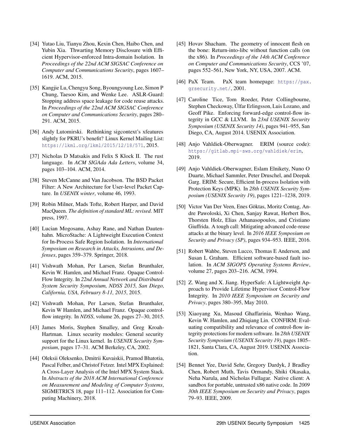- <span id="page-17-8"></span>[34] Yutao Liu, Tianyu Zhou, Kexin Chen, Haibo Chen, and Yubin Xia. Thwarting Memory Disclosure with Efficient Hypervisor-enforced Intra-domain Isolation. In *Proceedings of the 22nd ACM SIGSAC Conference on Computer and Communications Security*, pages 1607– 1619. ACM, 2015.
- <span id="page-17-15"></span>[35] Kangjie Lu, Chengyu Song, Byoungyoung Lee, Simon P Chung, Taesoo Kim, and Wenke Lee. ASLR-Guard: Stopping address space leakage for code reuse attacks. In *Proceedings of the 22nd ACM SIGSAC Conference on Computer and Communications Security*, pages 280– 291. ACM, 2015.
- <span id="page-17-7"></span>[36] Andy Lutomirski. Rethinking sigcontext's xfeatures slightly for PKRU's benefit? Linux Kernel Mailing List: <https://lkml.org/lkml/2015/12/18/571>, 2015.
- [37] Nicholas D Matsakis and Felix S Klock II. The rust language. In *ACM SIGAda Ada Letters*, volume 34, pages 103–104. ACM, 2014.
- [38] Steven McCanne and Van Jacobson. The BSD Packet Filter: A New Architecture for User-level Packet Capture. In *USENIX winter*, volume 46, 1993.
- <span id="page-17-9"></span>[39] Robin Milner, Mads Tofte, Robert Harper, and David MacQueen. *The definition of standard ML: revised*. MIT press, 1997.
- <span id="page-17-17"></span>[40] Lucian Mogosanu, Ashay Rane, and Nathan Dautenhahn. MicroStache: A Lightweight Execution Context for In-Process Safe Region Isolation. In *International Symposium on Research in Attacks, Intrusions, and Defenses*, pages 359–379. Springer, 2018.
- <span id="page-17-2"></span>[41] Vishwath Mohan, Per Larsen, Stefan Brunthaler, Kevin W. Hamlen, and Michael Franz. Opaque Control-Flow Integrity. In *22nd Annual Network and Distributed System Security Symposium, NDSS 2015, San Diego, California, USA, February 8-11, 2015*, 2015.
- <span id="page-17-13"></span>[42] Vishwath Mohan, Per Larsen, Stefan Brunthaler, Kevin W Hamlen, and Michael Franz. Opaque controlflow integrity. In *NDSS*, volume 26, pages 27–30, 2015.
- <span id="page-17-1"></span>[43] James Moris, Stephen Smalley, and Greg Kroah-Hartman. Linux security modules: General security support for the Linux kernel. In *USENIX Security Symposium*, pages 17–31. ACM Berkeley, CA, 2002.
- <span id="page-17-12"></span>[44] Oleksii Oleksenko, Dmitrii Kuvaiskii, Pramod Bhatotia, Pascal Felber, and Christof Fetzer. Intel MPX Explained: A Cross-Layer Analysis of the Intel MPX System Stack. In *Abstracts of the 2018 ACM International Conference on Measurement and Modeling of Computer Systems*, SIGMETRICS 18, page 111–112. Association for Computing Machinery, 2018.
- [45] Hovav Shacham. The geometry of innocent flesh on the bone: Return-into-libc without function calls (on the x86). In *Proceedings of the 14th ACM Conference on Computer and Communications Security*, CCS '07, pages 552–561, New York, NY, USA, 2007. ACM.
- <span id="page-17-16"></span>[46] PaX Team. PaX team homepage: [https://pax.](https://pax.grsecurity.net/) [grsecurity.net/](https://pax.grsecurity.net/), 2001.
- <span id="page-17-3"></span>[47] Caroline Tice, Tom Roeder, Peter Collingbourne, Stephen Checkoway, Úlfar Erlingsson, Luis Lozano, and Geoff Pike. Enforcing forward-edge control-flow integrity in GCC & LLVM. In *23rd USENIX Security Symposium (USENIX Security 14)*, pages 941–955, San Diego, CA, August 2014. USENIX Association.
- <span id="page-17-6"></span>[48] Anjo Vahldiek-Oberwagner. ERIM (source code): <https://gitlab.mpi-sws.org/vahldiek/erim>, 2019.
- <span id="page-17-0"></span>[49] Anjo Vahldiek-Oberwagner, Eslam Elnikety, Nuno O Duarte, Michael Sammler, Peter Druschel, and Deepak Garg. ERIM: Secure, Efficient In-process Isolation with Protection Keys (MPK). In *28th USENIX Security Symposium (USENIX Security 19)*, pages 1221–1238, 2019.
- <span id="page-17-14"></span>[50] Victor Van Der Veen, Enes Göktas, Moritz Contag, Andre Pawoloski, Xi Chen, Sanjay Rawat, Herbert Bos, Thorsten Holz, Elias Athanasopoulos, and Cristiano Giuffrida. A tough call: Mitigating advanced code-reuse attacks at the binary level. In *2016 IEEE Symposium on Security and Privacy (SP)*, pages 934–953. IEEE, 2016.
- <span id="page-17-10"></span>[51] Robert Wahbe, Steven Lucco, Thomas E Anderson, and Susan L Graham. Efficient software-based fault isolation. In *ACM SIGOPS Operating Systems Review*, volume 27, pages 203–216. ACM, 1994.
- <span id="page-17-4"></span>[52] Z. Wang and X. Jiang. HyperSafe: A Lightweight Approach to Provide Lifetime Hypervisor Control-Flow Integrity. In *2010 IEEE Symposium on Security and Privacy*, pages 380–395, May 2010.
- <span id="page-17-5"></span>[53] Xiaoyang Xu, Masoud Ghaffarinia, Wenhao Wang, Kevin W. Hamlen, and Zhiqiang Lin. CONFIRM: Evaluating compatibility and relevance of control-flow integrity protections for modern software. In *28th USENIX Security Symposium (USENIX Security 19)*, pages 1805– 1821, Santa Clara, CA, August 2019. USENIX Association.
- <span id="page-17-11"></span>[54] Bennet Yee, David Sehr, Gregory Dardyk, J Bradley Chen, Robert Muth, Tavis Ormandy, Shiki Okasaka, Neha Narula, and Nicholas Fullagar. Native client: A sandbox for portable, untrusted x86 native code. In *2009 30th IEEE Symposium on Security and Privacy*, pages 79–93. IEEE, 2009.